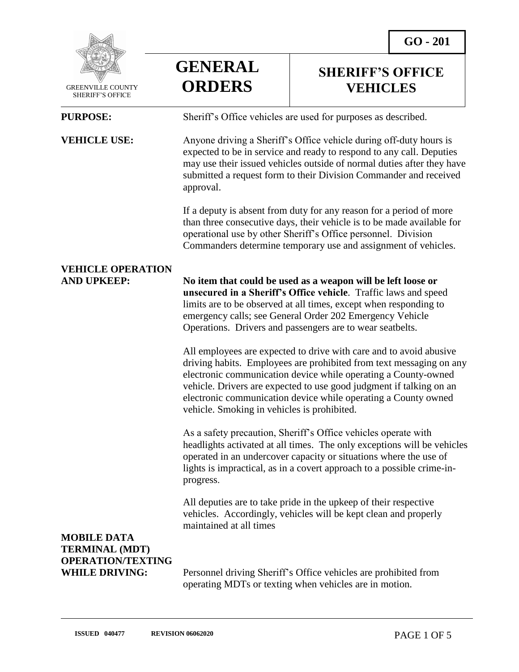**SHERIFF'S OFFICE VEHICLES**



 GREENVILLE COUNTY SHERIFF'S OFFICE

 $\overline{a}$ 

**PURPOSE:** Sheriff's Office vehicles are used for purposes as described.

**GENERAL**

**ORDERS**

**VEHICLE USE:** Anyone driving a Sheriff's Office vehicle during off-duty hours is expected to be in service and ready to respond to any call. Deputies may use their issued vehicles outside of normal duties after they have submitted a request form to their Division Commander and received approval.

> If a deputy is absent from duty for any reason for a period of more than three consecutive days, their vehicle is to be made available for operational use by other Sheriff's Office personnel. Division Commanders determine temporary use and assignment of vehicles.

## **VEHICLE OPERATION**

**AND UPKEEP: No item that could be used as a weapon will be left loose or unsecured in a Sheriff's Office vehicle**. Traffic laws and speed limits are to be observed at all times, except when responding to emergency calls; see General Order 202 Emergency Vehicle Operations. Drivers and passengers are to wear seatbelts.

> All employees are expected to drive with care and to avoid abusive driving habits. Employees are prohibited from text messaging on any electronic communication device while operating a County-owned vehicle. Drivers are expected to use good judgment if talking on an electronic communication device while operating a County owned vehicle. Smoking in vehicles is prohibited.

> As a safety precaution, Sheriff's Office vehicles operate with headlights activated at all times. The only exceptions will be vehicles operated in an undercover capacity or situations where the use of lights is impractical, as in a covert approach to a possible crime-inprogress.

All deputies are to take pride in the upkeep of their respective vehicles. Accordingly, vehicles will be kept clean and properly maintained at all times

### **MOBILE DATA TERMINAL (MDT) OPERATION/TEXTING**

**WHILE DRIVING:** Personnel driving Sheriff's Office vehicles are prohibited from operating MDTs or texting when vehicles are in motion.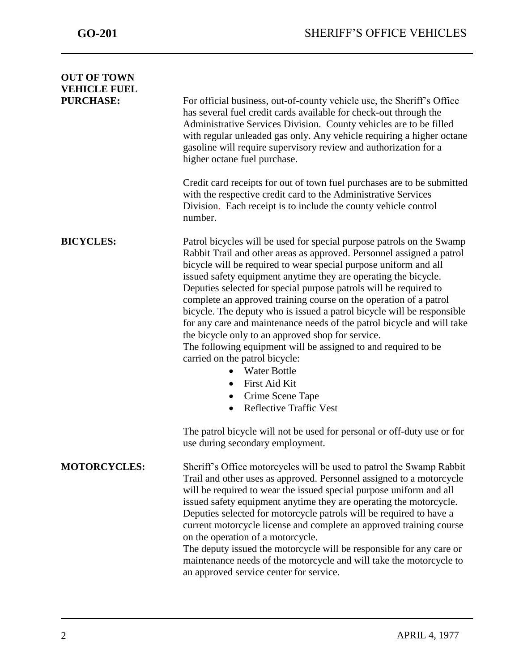| <b>OUT OF TOWN</b><br><b>VEHICLE FUEL</b> |                                                                                                                                                                                                                                                                                                                                                                                                                                                                                                                                                                                                                                                                                                                                                                                                                                                                                        |
|-------------------------------------------|----------------------------------------------------------------------------------------------------------------------------------------------------------------------------------------------------------------------------------------------------------------------------------------------------------------------------------------------------------------------------------------------------------------------------------------------------------------------------------------------------------------------------------------------------------------------------------------------------------------------------------------------------------------------------------------------------------------------------------------------------------------------------------------------------------------------------------------------------------------------------------------|
| <b>PURCHASE:</b>                          | For official business, out-of-county vehicle use, the Sheriff's Office<br>has several fuel credit cards available for check-out through the<br>Administrative Services Division. County vehicles are to be filled<br>with regular unleaded gas only. Any vehicle requiring a higher octane<br>gasoline will require supervisory review and authorization for a<br>higher octane fuel purchase.                                                                                                                                                                                                                                                                                                                                                                                                                                                                                         |
|                                           | Credit card receipts for out of town fuel purchases are to be submitted<br>with the respective credit card to the Administrative Services<br>Division. Each receipt is to include the county vehicle control<br>number.                                                                                                                                                                                                                                                                                                                                                                                                                                                                                                                                                                                                                                                                |
| <b>BICYCLES:</b>                          | Patrol bicycles will be used for special purpose patrols on the Swamp<br>Rabbit Trail and other areas as approved. Personnel assigned a patrol<br>bicycle will be required to wear special purpose uniform and all<br>issued safety equipment anytime they are operating the bicycle.<br>Deputies selected for special purpose patrols will be required to<br>complete an approved training course on the operation of a patrol<br>bicycle. The deputy who is issued a patrol bicycle will be responsible<br>for any care and maintenance needs of the patrol bicycle and will take<br>the bicycle only to an approved shop for service.<br>The following equipment will be assigned to and required to be<br>carried on the patrol bicycle:<br><b>Water Bottle</b><br>$\bullet$<br>First Aid Kit<br>$\bullet$<br>Crime Scene Tape<br>٠<br><b>Reflective Traffic Vest</b><br>$\bullet$ |
|                                           | The patrol bicycle will not be used for personal or off-duty use or for<br>use during secondary employment.                                                                                                                                                                                                                                                                                                                                                                                                                                                                                                                                                                                                                                                                                                                                                                            |
| <b>MOTORCYCLES:</b>                       | Sheriff's Office motorcycles will be used to patrol the Swamp Rabbit<br>Trail and other uses as approved. Personnel assigned to a motorcycle<br>will be required to wear the issued special purpose uniform and all<br>issued safety equipment anytime they are operating the motorcycle.<br>Deputies selected for motorcycle patrols will be required to have a<br>current motorcycle license and complete an approved training course<br>on the operation of a motorcycle.<br>The deputy issued the motorcycle will be responsible for any care or<br>maintenance needs of the motorcycle and will take the motorcycle to<br>an approved service center for service.                                                                                                                                                                                                                 |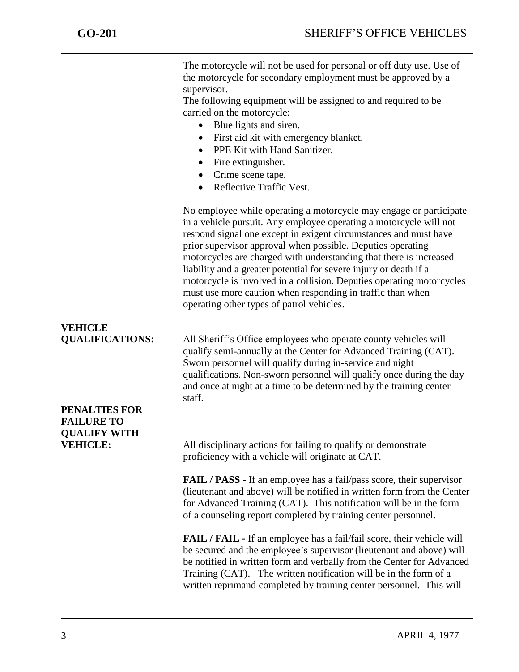The motorcycle will not be used for personal or off duty use. Use of the motorcycle for secondary employment must be approved by a supervisor.

The following equipment will be assigned to and required to be carried on the motorcycle:

- Blue lights and siren.
- First aid kit with emergency blanket.
- PPE Kit with Hand Sanitizer.
- Fire extinguisher.
- Crime scene tape.
- Reflective Traffic Vest.

No employee while operating a motorcycle may engage or participate in a vehicle pursuit. Any employee operating a motorcycle will not respond signal one except in exigent circumstances and must have prior supervisor approval when possible. Deputies operating motorcycles are charged with understanding that there is increased liability and a greater potential for severe injury or death if a motorcycle is involved in a collision. Deputies operating motorcycles must use more caution when responding in traffic than when operating other types of patrol vehicles.

# **VEHICLE**

**QUALIFICATIONS:** All Sheriff's Office employees who operate county vehicles will qualify semi-annually at the Center for Advanced Training (CAT). Sworn personnel will qualify during in-service and night qualifications. Non-sworn personnel will qualify once during the day and once at night at a time to be determined by the training center staff.

### **PENALTIES FOR FAILURE TO QUALIFY WITH**

**VEHICLE:** All disciplinary actions for failing to qualify or demonstrate proficiency with a vehicle will originate at CAT.

> **FAIL / PASS -** If an employee has a fail/pass score, their supervisor (lieutenant and above) will be notified in written form from the Center for Advanced Training (CAT). This notification will be in the form of a counseling report completed by training center personnel.

> **FAIL / FAIL -** If an employee has a fail/fail score, their vehicle will be secured and the employee's supervisor (lieutenant and above) will be notified in written form and verbally from the Center for Advanced Training (CAT). The written notification will be in the form of a written reprimand completed by training center personnel. This will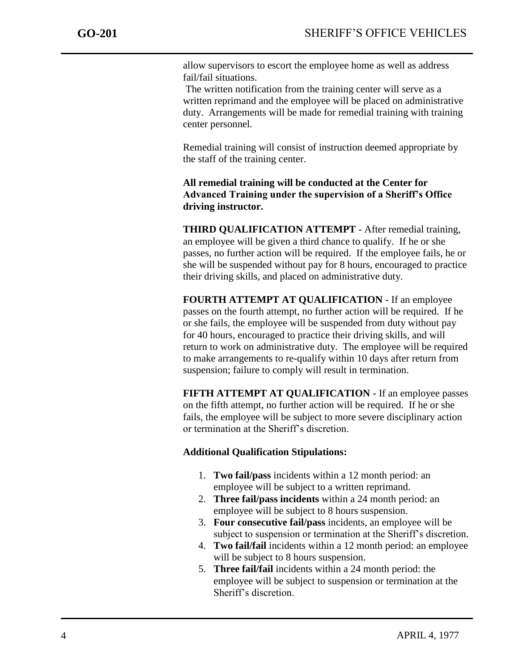allow supervisors to escort the employee home as well as address fail/fail situations.

The written notification from the training center will serve as a written reprimand and the employee will be placed on administrative duty. Arrangements will be made for remedial training with training center personnel.

Remedial training will consist of instruction deemed appropriate by the staff of the training center.

**All remedial training will be conducted at the Center for Advanced Training under the supervision of a Sheriff's Office driving instructor.**

**THIRD QUALIFICATION ATTEMPT** - After remedial training, an employee will be given a third chance to qualify. If he or she passes, no further action will be required. If the employee fails, he or she will be suspended without pay for 8 hours, encouraged to practice their driving skills, and placed on administrative duty.

**FOURTH ATTEMPT AT QUALIFICATION** - If an employee passes on the fourth attempt, no further action will be required. If he or she fails, the employee will be suspended from duty without pay for 40 hours, encouraged to practice their driving skills, and will return to work on administrative duty. The employee will be required to make arrangements to re-qualify within 10 days after return from suspension; failure to comply will result in termination.

**FIFTH ATTEMPT AT QUALIFICATION -** If an employee passes on the fifth attempt, no further action will be required. If he or she fails, the employee will be subject to more severe disciplinary action or termination at the Sheriff's discretion.

#### **Additional Qualification Stipulations:**

- 1. **Two fail/pass** incidents within a 12 month period: an employee will be subject to a written reprimand.
- 2. **Three fail/pass incidents** within a 24 month period: an employee will be subject to 8 hours suspension.
- 3. **Four consecutive fail/pass** incidents, an employee will be subject to suspension or termination at the Sheriff's discretion.
- 4. **Two fail/fail** incidents within a 12 month period: an employee will be subject to 8 hours suspension.
- 5. **Three fail/fail** incidents within a 24 month period: the employee will be subject to suspension or termination at the Sheriff's discretion.